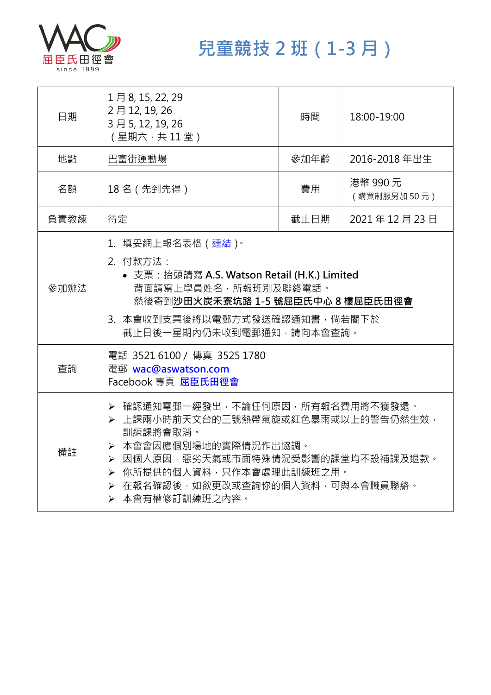

**兒童競技 2 班(1-3 月)**

| 日期   | 1月8, 15, 22, 29<br>2月12, 19, 26<br>3月5, 12, 19, 26<br>(星期六,共11堂)                                                                                                                                                                      | 時間   | 18:00-19:00             |
|------|---------------------------------------------------------------------------------------------------------------------------------------------------------------------------------------------------------------------------------------|------|-------------------------|
| 地點   | 巴富街運動場                                                                                                                                                                                                                                | 參加年齡 | 2016-2018 年出生           |
| 名額   | 18名(先到先得)                                                                                                                                                                                                                             | 費用   | 港幣 990 元<br>(購買制服另加50元) |
| 負責教練 | 待定                                                                                                                                                                                                                                    | 截止日期 | 2021年12月23日             |
| 參加辦法 | 1.填妥網上報名表格(連結) <sup>。</sup><br>2. 付款方法:<br>• 支票: 抬頭請寫 A.S. Watson Retail (H.K.) Limited<br>背面請寫上學員姓名,所報班別及聯絡電話。<br>然後寄到沙田火炭禾寮坑路 1-5 號屈臣氏中心 8 樓屈臣氏田徑會<br>3. 本會收到支票後將以電郵方式發送確認通知書,倘若閣下於<br>截止日後一星期內仍未收到電郵通知,請向本會查詢。                     |      |                         |
| 查詢   | 電話 3521 6100 / 傳真 3525 1780<br>電郵 wac@aswatson.com<br>Facebook 專頁 屈臣氏田徑會                                                                                                                                                              |      |                         |
| 備註   | ▶ 確認通知電郵一經發出,不論任何原因,所有報名費用將不獲發還。<br>▶ 上課兩小時前天文台的三號熱帶氣旋或紅色暴雨或以上的警告仍然生效,<br>訓練課將會取消。<br>▶ 本會會因應個別場地的實際情況作出協調。<br>▶ 因個人原因,惡劣天氣或市面特殊情況受影響的課堂均不設補課及退款。<br>> 你所提供的個人資料,只作本會處理此訓練班之用。<br>> 在報名確認後,如欲更改或查詢你的個人資料,可與本會職員聯絡。<br>▶ 本會有權修訂訓練班之內容。 |      |                         |